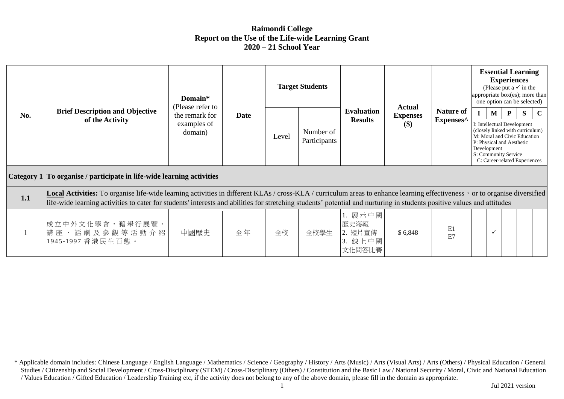## **Raimondi College Report on the Use of the Life-wide Learning Grant 2020 – 21 School Year**

|     |                                                                                                                                                                                                                                                                                                                                                       | Domain*<br>(Please refer to<br>the remark for<br><b>Date</b><br>examples of<br>domain) |       | <b>Target Students</b>    |                                     |                                                                                                                                                                                                           | <b>Actual</b><br><b>Expenses</b><br>$\left( \text{\$}\right)$ | <b>Nature of</b><br>Expenses^ | <b>Essential Learning</b><br><b>Experiences</b><br>(Please put a $\checkmark$ in the<br>appropriate box(es); more than<br>one option can be selected) |             |  |  |  |
|-----|-------------------------------------------------------------------------------------------------------------------------------------------------------------------------------------------------------------------------------------------------------------------------------------------------------------------------------------------------------|----------------------------------------------------------------------------------------|-------|---------------------------|-------------------------------------|-----------------------------------------------------------------------------------------------------------------------------------------------------------------------------------------------------------|---------------------------------------------------------------|-------------------------------|-------------------------------------------------------------------------------------------------------------------------------------------------------|-------------|--|--|--|
| No. | <b>Brief Description and Objective</b><br>of the Activity                                                                                                                                                                                                                                                                                             |                                                                                        | Level | Number of<br>Participants | <b>Evaluation</b><br><b>Results</b> | M<br>I: Intellectual Development<br>(closely linked with curriculum)<br>M: Moral and Civic Education<br>P: Physical and Aesthetic<br>Development<br>S: Community Service<br>C: Career-related Experiences |                                                               |                               | P<br><sup>S</sup>                                                                                                                                     | $\mathbf C$ |  |  |  |
|     | Category 1 To organise / participate in life-wide learning activities                                                                                                                                                                                                                                                                                 |                                                                                        |       |                           |                                     |                                                                                                                                                                                                           |                                                               |                               |                                                                                                                                                       |             |  |  |  |
| 1.1 | Local Activities: To organise life-wide learning activities in different KLAs / cross-KLA / curriculum areas to enhance learning effectiveness, or to organise diversified<br>life-wide learning activities to cater for students' interests and abilities for stretching students' potential and nurturing in students positive values and attitudes |                                                                                        |       |                           |                                     |                                                                                                                                                                                                           |                                                               |                               |                                                                                                                                                       |             |  |  |  |
|     | 成立中外文化學會,藉舉行展覽、<br>講座、話劇及參觀等活動介紹<br>1945-1997 香港民生百態。                                                                                                                                                                                                                                                                                                 | 中國歷史                                                                                   | 全年    | 全校                        | 全校學生                                | 1. 展示中國<br>歷史海報<br>2. 短片宣傳<br>3. 線上中國<br>文化問答比賽                                                                                                                                                           | \$6,848                                                       | E1<br>E7                      | $\checkmark$                                                                                                                                          |             |  |  |  |

<sup>\*</sup> Applicable domain includes: Chinese Language / English Language / Mathematics / Science / Geography / History / Arts (Music) / Arts (Visual Arts) / Arts (Others) / Physical Education / General Studies / Citizenship and Social Development / Cross-Disciplinary (STEM) / Cross-Disciplinary (Others) / Constitution and the Basic Law / National Security / Moral, Civic and National Education / Values Education / Gifted Education / Leadership Training etc, if the activity does not belong to any of the above domain, please fill in the domain as appropriate.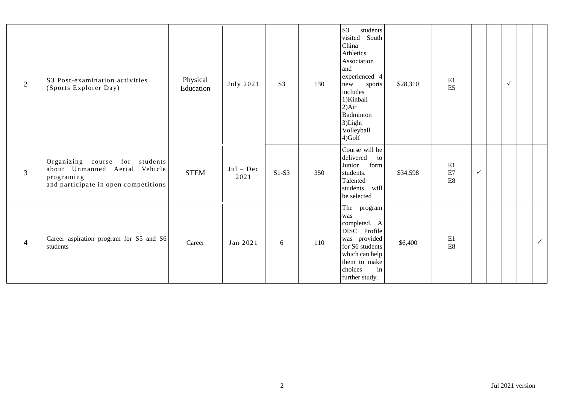| 2              | S3 Post-examination activities<br>(Sports Explorer Day)                                                               | Physical<br>Education | July 2021           | S <sub>3</sub> | 130 | S <sub>3</sub><br>students<br>visited South<br>China<br>Athletics<br>Association<br>and<br>experienced 4<br>new<br>sports<br>includes<br>1)Kinball<br>2) Air<br>Badminton<br>3)Light<br>Volleyball<br>4)Golf | \$28,310 | E1<br>E <sub>5</sub>            |              | $\checkmark$ |              |
|----------------|-----------------------------------------------------------------------------------------------------------------------|-----------------------|---------------------|----------------|-----|--------------------------------------------------------------------------------------------------------------------------------------------------------------------------------------------------------------|----------|---------------------------------|--------------|--------------|--------------|
| $\overline{3}$ | Organizing course for students<br>about Unmanned Aerial Vehicle<br>programing<br>and participate in open competitions | <b>STEM</b>           | $Jul - Dec$<br>2021 | $S1-S3$        | 350 | Course will be<br>delivered<br>to<br>Junior<br>form<br>students.<br>Talented<br>will<br>students<br>be selected                                                                                              | \$34,598 | E1<br>E7<br>E8                  | $\checkmark$ |              |              |
| $\overline{4}$ | Career aspiration program for S5 and S6<br>students                                                                   | Career                | Jan 2021            | 6              | 110 | The program<br>was<br>completed. A<br>DISC Profile<br>was provided<br>for S6 students<br>which can help<br>them to make<br>in<br>choices<br>further study.                                                   | \$6,400  | E1<br>$\mathop{\hbox{\rm E}} 8$ |              |              | $\checkmark$ |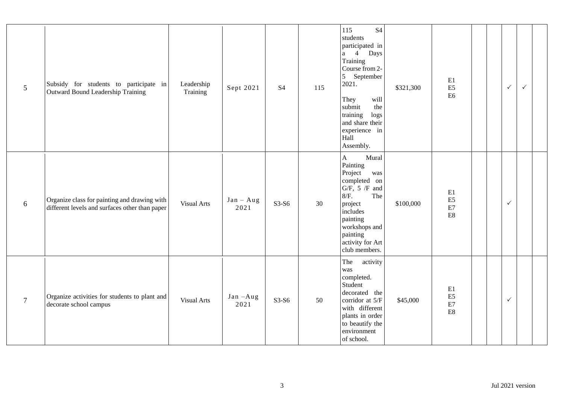| $\mathfrak{S}$ | Subsidy for students to participate in<br><b>Outward Bound Leadership Training</b>             | Leadership<br>Training | Sept 2021           | <b>S4</b> | 115 | 115<br><b>S4</b><br>students<br>participated in<br>a 4 Days<br>Training<br>Course from 2-<br>5 September<br>2021.<br>They<br>will<br>submit<br>the<br>training<br>logs<br>and share their<br>experience in<br>Hall<br>Assembly. | \$321,300 | E1<br>E <sub>5</sub><br>E <sub>6</sub>                                   | $\checkmark$ | $\checkmark$ |  |
|----------------|------------------------------------------------------------------------------------------------|------------------------|---------------------|-----------|-----|---------------------------------------------------------------------------------------------------------------------------------------------------------------------------------------------------------------------------------|-----------|--------------------------------------------------------------------------|--------------|--------------|--|
| 6              | Organize class for painting and drawing with<br>different levels and surfaces other than paper | <b>Visual Arts</b>     | $Jan - Aug$<br>2021 | $S3-S6$   | 30  | Mural<br>$\mathbf A$<br>Painting<br>Project<br>was<br>completed on<br>$G/F$ , 5 $/F$ and<br>8/F.<br>The<br>project<br>includes<br>painting<br>workshops and<br>painting<br>activity for Art<br>club members.                    | \$100,000 | E1<br>$\mathop{\hbox{\rm E}} 5$<br>$\rm E7$<br>$\mathop{\hbox{\rm E}} 8$ | $\checkmark$ |              |  |
| $\tau$         | Organize activities for students to plant and<br>decorate school campus                        | <b>Visual Arts</b>     | $Jan - Aug$<br>2021 | $S3-S6$   | 50  | The<br>activity<br>was<br>completed.<br>Student<br>decorated the<br>corridor at 5/F<br>with different<br>plants in order<br>to beautify the<br>environment<br>of school.                                                        | \$45,000  | E1<br>$\mathop{\hbox{\rm E}} 5$<br>$\rm E7$<br>$\mathop{\hbox{\rm E}} 8$ | $\checkmark$ |              |  |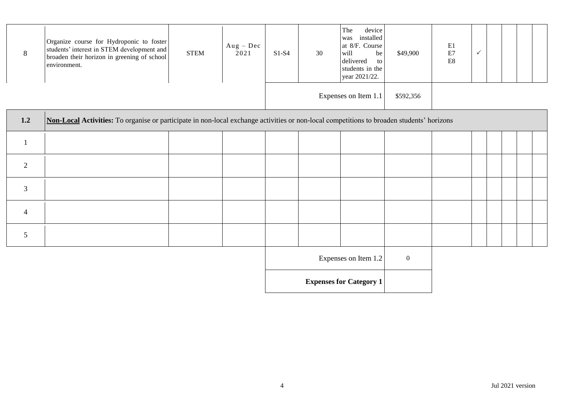| Ō | Organize course for Hydroponic to foster<br>students' interest in STEM development and<br>broaden their horizon in greening of school<br>environment. | <b>STEM</b> | $Aug - Dec$<br>2021 | $S1-S4$ | 30 | device<br>The<br>installed<br>was<br>at 8/F. Course<br>will<br>be<br>delivered<br>to l<br>students in the<br>year 2021/22. | \$49,900  | E1<br>E7<br>E8 |  |  |  |
|---|-------------------------------------------------------------------------------------------------------------------------------------------------------|-------------|---------------------|---------|----|----------------------------------------------------------------------------------------------------------------------------|-----------|----------------|--|--|--|
|   |                                                                                                                                                       |             |                     |         |    | Expenses on Item 1.1                                                                                                       | \$592,356 |                |  |  |  |

| 1.2            | Non-Local Activities: To organise or participate in non-local exchange activities or non-local competitions to broaden students' horizons |  |  |  |  |                                |                  |  |  |  |  |
|----------------|-------------------------------------------------------------------------------------------------------------------------------------------|--|--|--|--|--------------------------------|------------------|--|--|--|--|
|                |                                                                                                                                           |  |  |  |  |                                |                  |  |  |  |  |
| $\overline{2}$ |                                                                                                                                           |  |  |  |  |                                |                  |  |  |  |  |
| $\mathfrak{Z}$ |                                                                                                                                           |  |  |  |  |                                |                  |  |  |  |  |
| $\overline{4}$ |                                                                                                                                           |  |  |  |  |                                |                  |  |  |  |  |
| 5              |                                                                                                                                           |  |  |  |  |                                |                  |  |  |  |  |
|                |                                                                                                                                           |  |  |  |  | Expenses on Item 1.2           | $\boldsymbol{0}$ |  |  |  |  |
|                |                                                                                                                                           |  |  |  |  | <b>Expenses for Category 1</b> |                  |  |  |  |  |

ı